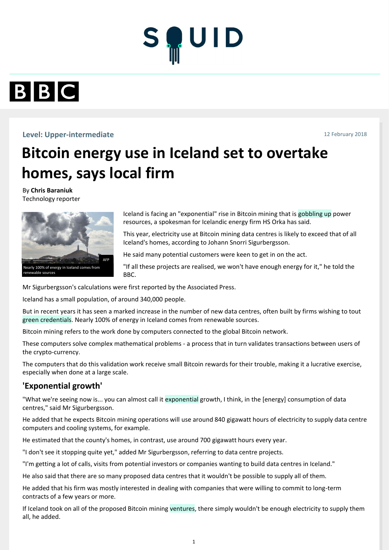



#### **Level: Upper-intermediate** 12 February 2018

# **Bitcoin energy use in Iceland set to overtake homes, says local firm**

Iceland is facing an "exponential" rise in Bitcoin mining that is gobbling up power resources, a spokesman for Icelandic energy firm HS Orka has said.

This year, electricity use at Bitcoin mining data centres is likely to exceed that of all Iceland's homes, according to Johann Snorri Sigurbergsson.

He said many potential customers were keen to get in on the act.

"If all these projects are realised, we won't have enough energy for it," he told the BBC.

By **Chris Baraniuk** Technology reporter

Mr Sigurbergsson's calculations were first reported by the Associated Press.

Iceland has a small population, of around 340,000 people.

But in recent years it has seen a marked increase in the number of new data centres, often built by firms wishing to tout green credentials. Nearly 100% of energy in Iceland comes from renewable sources.

Bitcoin mining refers to the work done by computers connected to the global Bitcoin network.<br>These computers solve complex mathematical problems - a process that in turn validates trans

These computers solve complex mathematical problems - a process that in turn validates transactions between users of the crypto-currency.

The computers that do this validation work receive small Bitcoin rewards for their trouble, making it a lucrative exercise, especially when done at a large scale.

### **'Exponential growth'**

"What we're seeing now is... you can almost call it exponential growth, I think, in the [energy] consumption of data centres," said Mr Sigurbergsson.

He added that he expects Bitcoin mining operations will use around 840 gigawatt hours of electricity to supply data centre computers and cooling systems, for example.

He estimated that the county's homes, in contrast, use around 700 gigawatt hours every year.

"I don't see it stopping quite yet," added Mr Sigurbergsson, referring to data centre projects.

"I'm getting a lot of calls, visits from potential investors or companies wanting to build data centres in Iceland."

He also said that there are so many proposed data centres that it wouldn't be possible to supply all of them.

He added that his firm was mostly interested in dealing with companies that were willing to commit to long-term contracts of a few years or more.

If Iceland took on all of the proposed Bitcoin mining ventures, there simply wouldn't be enough electricity to supply them all, he added.

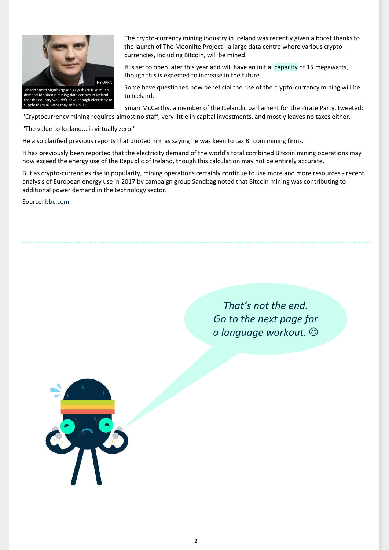"Cryptocurrency mining requires almost no staff, very little in capital investments, and mostly leaves no taxes either.

"The value to Iceland... is virtually zero."

He also clarified previous reports that quoted him as saying he was keen to tax Bitcoin mining firms.

It has previously been reported that the electricity demand of the world's total combined Bitcoin mining operations may now exceed the energy use of the Republic of Ireland, though this calculation may not be entirely accurate.

But as crypto-currencies rise in popularity, mining operations certainly continue to use more and more resources - recent analysis of European energy use in 2017 by campaign group Sandbag noted that Bitcoin mining was contributing to additional power demand in the technology sector.

Source: [bbc.com](http://go.squidapp.co/n/esefCA1)

*That's not the end. Go to the next page for a language workout.* ☺



The crypto-currency mining industry in Iceland was recently given a boost thanks to the launch of The Moonlite Project - a large data centre where various cryptocurrencies, including Bitcoin, will be mined.

It is set to open later this year and will have an initial capacity of 15 megawatts, though this is expected to increase in the future.

Some have questioned how beneficial the rise of the crypto-currency mining will be to Iceland.

Smari McCarthy, a member of the Icelandic parliament for the Pirate Party, tweeted:



supply them all were they to be built